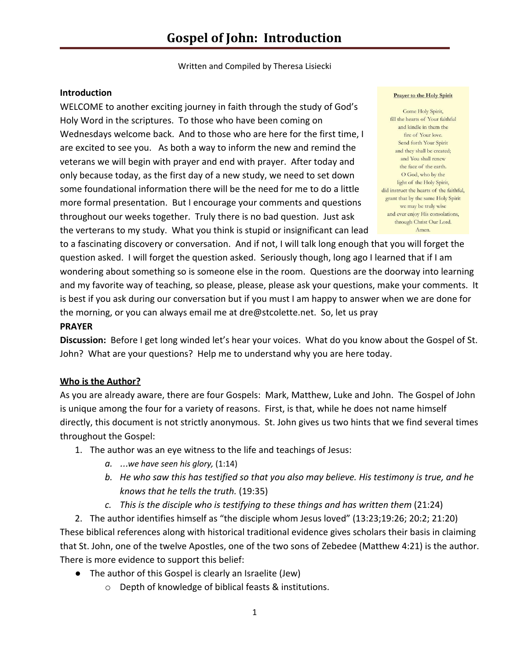Written and Compiled by Theresa Lisiecki

#### **Introduction**

WELCOME to another exciting journey in faith through the study of God's Holy Word in the scriptures. To those who have been coming on Wednesdays welcome back. And to those who are here for the first time, I are excited to see you. As both a way to inform the new and remind the veterans we will begin with prayer and end with prayer. After today and only because today, as the first day of a new study, we need to set down some foundational information there will be the need for me to do a little more formal presentation. But I encourage your comments and questions throughout our weeks together. Truly there is no bad question. Just ask the verterans to my study. What you think is stupid or insignificant can lead

#### **Prayer to the Holy Spirit**

Come Holy Spirit, fill the hearts of Your faithful and kindle in them the fire of Your love. Send forth Your Spirit and they shall be created: and You shall renew the face of the earth. O God, who by the light of the Holy Spirit, did instruct the hearts of the faithful, grant that by the same Holy Spirit we may be truly wise and ever enjoy His consolations through Christ Our Lord. Amen.

to a fascinating discovery or conversation. And if not, I will talk long enough that you will forget the question asked. I will forget the question asked. Seriously though, long ago I learned that if I am wondering about something so is someone else in the room. Questions are the doorway into learning and my favorite way of teaching, so please, please, please ask your questions, make your comments. It is best if you ask during our conversation but if you must I am happy to answer when we are done for the morning, or you can always email me at dre@stcolette.net. So, let us pray

#### **PRAYER**

**Discussion:** Before I get long winded let's hear your voices. What do you know about the Gospel of St. John? What are your questions? Help me to understand why you are here today.

#### **Who is the Author?**

As you are already aware, there are four Gospels: Mark, Matthew, Luke and John. The Gospel of John is unique among the four for a variety of reasons. First, is that, while he does not name himself directly, this document is not strictly anonymous. St. John gives us two hints that we find several times throughout the Gospel:

- 1. The author was an eye witness to the life and teachings of Jesus:
	- *a.* …*we have seen his glory,* (1:14)
	- *b. He who saw this has testified so that you also may believe. His testimony is true, and he knows that he tells the truth.* (19:35)
	- *c. This is the disciple who is testifying to these things and has written them* (21:24)

2. The author identifies himself as "the disciple whom Jesus loved" (13:23;19:26; 20:2; 21:20) These biblical references along with historical traditional evidence gives scholars their basis in claiming that St. John, one of the twelve Apostles, one of the two sons of Zebedee (Matthew 4:21) is the author. There is more evidence to support this belief:

- The author of this Gospel is clearly an Israelite (Jew)
	- o Depth of knowledge of biblical feasts & institutions.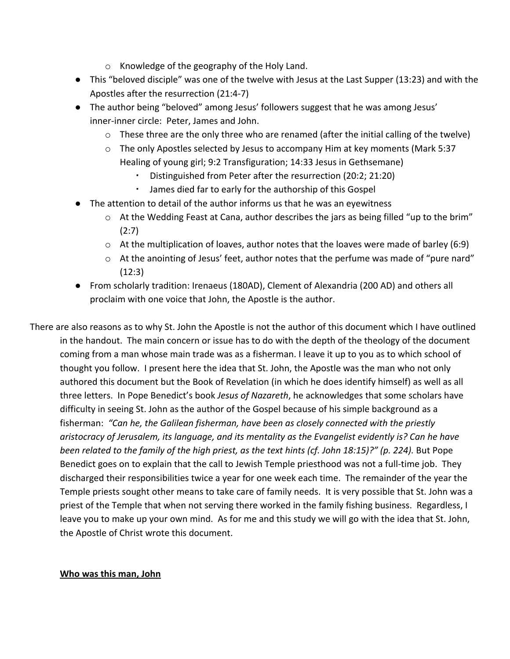- o Knowledge of the geography of the Holy Land.
- This "beloved disciple" was one of the twelve with Jesus at the Last Supper (13:23) and with the Apostles after the resurrection (21:4-7)
- The author being "beloved" among Jesus' followers suggest that he was among Jesus' inner-inner circle: Peter, James and John.
	- o These three are the only three who are renamed (after the initial calling of the twelve)
	- o The only Apostles selected by Jesus to accompany Him at key moments (Mark 5:37 Healing of young girl; 9:2 Transfiguration; 14:33 Jesus in Gethsemane)
		- Distinguished from Peter after the resurrection (20:2; 21:20)
		- James died far to early for the authorship of this Gospel
- The attention to detail of the author informs us that he was an eyewitness
	- $\circ$  At the Wedding Feast at Cana, author describes the jars as being filled "up to the brim" (2:7)
	- o At the multiplication of loaves, author notes that the loaves were made of barley (6:9)
	- o At the anointing of Jesus' feet, author notes that the perfume was made of "pure nard" (12:3)
- From scholarly tradition: Irenaeus (180AD), Clement of Alexandria (200 AD) and others all proclaim with one voice that John, the Apostle is the author.

There are also reasons as to why St. John the Apostle is not the author of this document which I have outlined in the handout. The main concern or issue has to do with the depth of the theology of the document coming from a man whose main trade was as a fisherman. I leave it up to you as to which school of thought you follow. I present here the idea that St. John, the Apostle was the man who not only authored this document but the Book of Revelation (in which he does identify himself) as well as all three letters. In Pope Benedict's book *Jesus of Nazareth*, he acknowledges that some scholars have difficulty in seeing St. John as the author of the Gospel because of his simple background as a fisherman: *"Can he, the Galilean fisherman, have been as closely connected with the priestly aristocracy of Jerusalem, its language, and its mentality as the Evangelist evidently is? Can he have been related to the family of the high priest, as the text hints (cf. John 18:15)?" (p. 224).* But Pope Benedict goes on to explain that the call to Jewish Temple priesthood was not a full-time job. They discharged their responsibilities twice a year for one week each time. The remainder of the year the Temple priests sought other means to take care of family needs. It is very possible that St. John was a priest of the Temple that when not serving there worked in the family fishing business. Regardless, I leave you to make up your own mind. As for me and this study we will go with the idea that St. John, the Apostle of Christ wrote this document.

#### **Who was this man, John**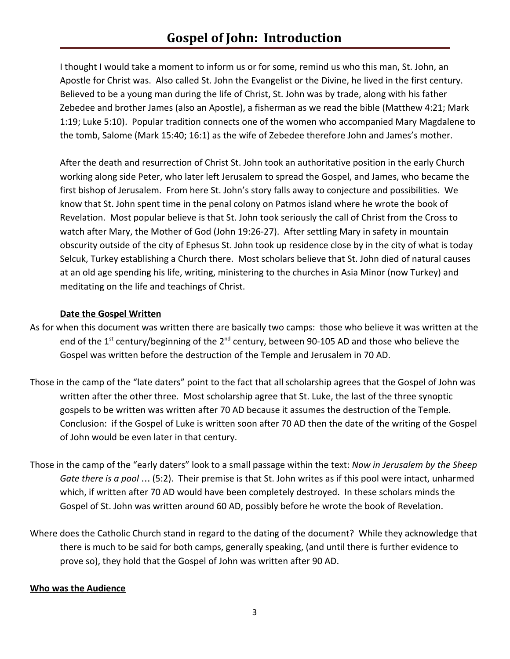I thought I would take a moment to inform us or for some, remind us who this man, St. John, an Apostle for Christ was. Also called St. John the Evangelist or the Divine, he lived in the first century. Believed to be a young man during the life of Christ, St. John was by trade, along with his father Zebedee and brother James (also an Apostle), a fisherman as we read the bible (Matthew 4:21; Mark 1:19; Luke 5:10). Popular tradition connects one of the women who accompanied Mary Magdalene to the tomb, Salome (Mark 15:40; 16:1) as the wife of Zebedee therefore John and James's mother.

After the death and resurrection of Christ St. John took an authoritative position in the early Church working along side Peter, who later left Jerusalem to spread the Gospel, and James, who became the first bishop of Jerusalem. From here St. John's story falls away to conjecture and possibilities. We know that St. John spent time in the penal colony on Patmos island where he wrote the book of Revelation. Most popular believe is that St. John took seriously the call of Christ from the Cross to watch after Mary, the Mother of God (John 19:26-27). After settling Mary in safety in mountain obscurity outside of the city of Ephesus St. John took up residence close by in the city of what is today Selcuk, Turkey establishing a Church there. Most scholars believe that St. John died of natural causes at an old age spending his life, writing, ministering to the churches in Asia Minor (now Turkey) and meditating on the life and teachings of Christ.

# **Date the Gospel Written**

- As for when this document was written there are basically two camps: those who believe it was written at the end of the 1<sup>st</sup> century/beginning of the 2<sup>nd</sup> century, between 90-105 AD and those who believe the Gospel was written before the destruction of the Temple and Jerusalem in 70 AD.
- Those in the camp of the "late daters" point to the fact that all scholarship agrees that the Gospel of John was written after the other three. Most scholarship agree that St. Luke, the last of the three synoptic gospels to be written was written after 70 AD because it assumes the destruction of the Temple. Conclusion: if the Gospel of Luke is written soon after 70 AD then the date of the writing of the Gospel of John would be even later in that century.
- Those in the camp of the "early daters" look to a small passage within the text: *Now in Jerusalem by the Sheep Gate there is a pool* … (5:2). Their premise is that St. John writes as if this pool were intact, unharmed which, if written after 70 AD would have been completely destroyed. In these scholars minds the Gospel of St. John was written around 60 AD, possibly before he wrote the book of Revelation.
- Where does the Catholic Church stand in regard to the dating of the document? While they acknowledge that there is much to be said for both camps, generally speaking, (and until there is further evidence to prove so), they hold that the Gospel of John was written after 90 AD.

#### **Who was the Audience**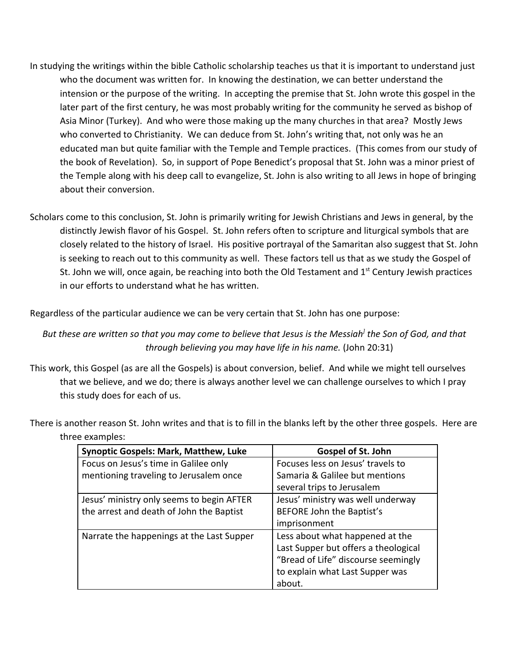- In studying the writings within the bible Catholic scholarship teaches us that it is important to understand just who the document was written for. In knowing the destination, we can better understand the intension or the purpose of the writing. In accepting the premise that St. John wrote this gospel in the later part of the first century, he was most probably writing for the community he served as bishop of Asia Minor (Turkey). And who were those making up the many churches in that area? Mostly Jews who converted to Christianity. We can deduce from St. John's writing that, not only was he an educated man but quite familiar with the Temple and Temple practices. (This comes from our study of the book of Revelation). So, in support of Pope Benedict's proposal that St. John was a minor priest of the Temple along with his deep call to evangelize, St. John is also writing to all Jews in hope of bringing about their conversion.
- Scholars come to this conclusion, St. John is primarily writing for Jewish Christians and Jews in general, by the distinctly Jewish flavor of his Gospel. St. John refers often to scripture and liturgical symbols that are closely related to the history of Israel. His positive portrayal of the Samaritan also suggest that St. John is seeking to reach out to this community as well. These factors tell us that as we study the Gospel of St. John we will, once again, be reaching into both the Old Testament and  $1<sup>st</sup>$  Century Jewish practices in our efforts to understand what he has written.

Regardless of the particular audience we can be very certain that St. John has one purpose:

*But these are written so that you may come to believe that Jesus is the Messiah] the Son of God, and that through believing you may have life in his name.* (John 20:31)

- This work, this Gospel (as are all the Gospels) is about conversion, belief. And while we might tell ourselves that we believe, and we do; there is always another level we can challenge ourselves to which I pray this study does for each of us.
- There is another reason St. John writes and that is to fill in the blanks left by the other three gospels. Here are three examples:

| <b>Synoptic Gospels: Mark, Matthew, Luke</b> | <b>Gospel of St. John</b>            |
|----------------------------------------------|--------------------------------------|
| Focus on Jesus's time in Galilee only        | Focuses less on Jesus' travels to    |
| mentioning traveling to Jerusalem once       | Samaria & Galilee but mentions       |
|                                              | several trips to Jerusalem           |
| Jesus' ministry only seems to begin AFTER    | Jesus' ministry was well underway    |
| the arrest and death of John the Baptist     | BEFORE John the Baptist's            |
|                                              | imprisonment                         |
| Narrate the happenings at the Last Supper    | Less about what happened at the      |
|                                              | Last Supper but offers a theological |
|                                              | "Bread of Life" discourse seemingly  |
|                                              | to explain what Last Supper was      |
|                                              | about.                               |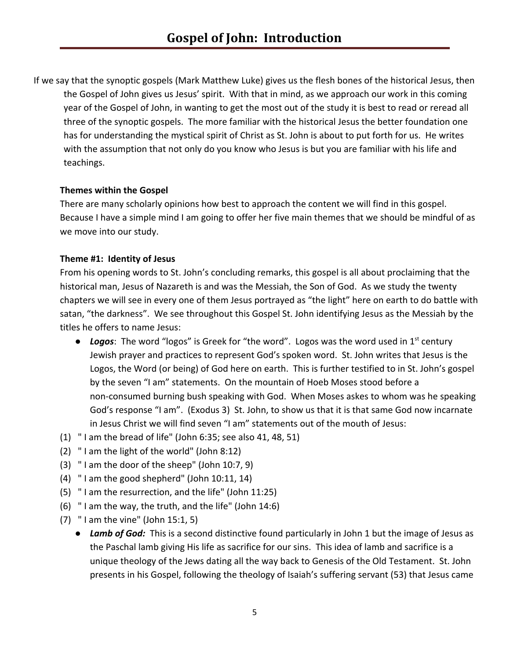If we say that the synoptic gospels (Mark Matthew Luke) gives us the flesh bones of the historical Jesus, then the Gospel of John gives us Jesus' spirit. With that in mind, as we approach our work in this coming year of the Gospel of John, in wanting to get the most out of the study it is best to read or reread all three of the synoptic gospels. The more familiar with the historical Jesus the better foundation one has for understanding the mystical spirit of Christ as St. John is about to put forth for us. He writes with the assumption that not only do you know who Jesus is but you are familiar with his life and teachings.

#### **Themes within the Gospel**

There are many scholarly opinions how best to approach the content we will find in this gospel. Because I have a simple mind I am going to offer her five main themes that we should be mindful of as we move into our study.

# **Theme #1: Identity of Jesus**

From his opening words to St. John's concluding remarks, this gospel is all about proclaiming that the historical man, Jesus of Nazareth is and was the Messiah, the Son of God. As we study the twenty chapters we will see in every one of them Jesus portrayed as "the light" here on earth to do battle with satan, "the darkness". We see throughout this Gospel St. John identifying Jesus as the Messiah by the titles he offers to name Jesus:

- Logos: The word "logos" is Greek for "the word". Logos was the word used in 1<sup>st</sup> century Jewish prayer and practices to represent God's spoken word. St. John writes that Jesus is the Logos, the Word (or being) of God here on earth. This is further testified to in St. John's gospel by the seven "I am" statements. On the mountain of Hoeb Moses stood before a non-consumed burning bush speaking with God. When Moses askes to whom was he speaking God's response "I am". (Exodus 3) St. John, to show us that it is that same God now incarnate in Jesus Christ we will find seven "I am" statements out of the mouth of Jesus:
- (1) " I am the bread of life" (John 6:35; see also 41, 48, 51)
- (2) " I am the light of the world" (John 8:12)
- (3) " I am the door of the sheep" (John 10:7, 9)
- (4) " I am the good shepherd" (John 10:11, 14)
- (5) " I am the resurrection, and the life" (John 11:25)
- (6) " I am the way, the truth, and the life" (John 14:6)
- (7) " I am the vine" (John 15:1, 5)
	- *Lamb of God:* This is a second distinctive found particularly in John 1 but the image of Jesus as the Paschal lamb giving His life as sacrifice for our sins. This idea of lamb and sacrifice is a unique theology of the Jews dating all the way back to Genesis of the Old Testament. St. John presents in his Gospel, following the theology of Isaiah's suffering servant (53) that Jesus came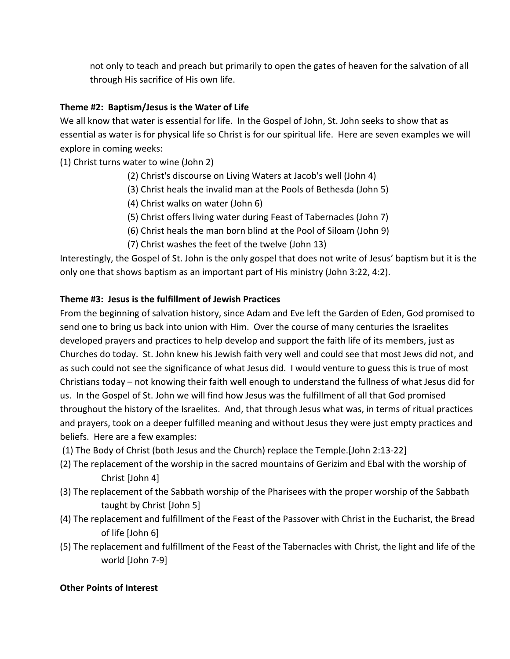not only to teach and preach but primarily to open the gates of heaven for the salvation of all through His sacrifice of His own life.

# **Theme #2: Baptism/Jesus is the Water of Life**

We all know that water is essential for life. In the Gospel of John, St. John seeks to show that as essential as water is for physical life so Christ is for our spiritual life. Here are seven examples we will explore in coming weeks:

(1) Christ turns water to wine (John 2)

- (2) Christ's discourse on Living Waters at Jacob's well (John 4)
- (3) Christ heals the invalid man at the Pools of Bethesda (John 5)
- (4) Christ walks on water (John 6)
- (5) Christ offers living water during Feast of Tabernacles (John 7)
- (6) Christ heals the man born blind at the Pool of Siloam (John 9)
- (7) Christ washes the feet of the twelve (John 13)

Interestingly, the Gospel of St. John is the only gospel that does not write of Jesus' baptism but it is the only one that shows baptism as an important part of His ministry (John 3:22, 4:2).

#### **Theme #3: Jesus is the fulfillment of Jewish Practices**

From the beginning of salvation history, since Adam and Eve left the Garden of Eden, God promised to send one to bring us back into union with Him. Over the course of many centuries the Israelites developed prayers and practices to help develop and support the faith life of its members, just as Churches do today. St. John knew his Jewish faith very well and could see that most Jews did not, and as such could not see the significance of what Jesus did. I would venture to guess this is true of most Christians today – not knowing their faith well enough to understand the fullness of what Jesus did for us. In the Gospel of St. John we will find how Jesus was the fulfillment of all that God promised throughout the history of the Israelites. And, that through Jesus what was, in terms of ritual practices and prayers, took on a deeper fulfilled meaning and without Jesus they were just empty practices and beliefs. Here are a few examples:

- (1) The Body of Christ (both Jesus and the Church) replace the Temple.[John 2:13-22]
- (2) The replacement of the worship in the sacred mountains of Gerizim and Ebal with the worship of Christ [John 4]
- (3) The replacement of the Sabbath worship of the Pharisees with the proper worship of the Sabbath taught by Christ [John 5]
- (4) The replacement and fulfillment of the Feast of the Passover with Christ in the Eucharist, the Bread of life [John 6]
- (5) The replacement and fulfillment of the Feast of the Tabernacles with Christ, the light and life of the world [John 7-9]

#### **Other Points of Interest**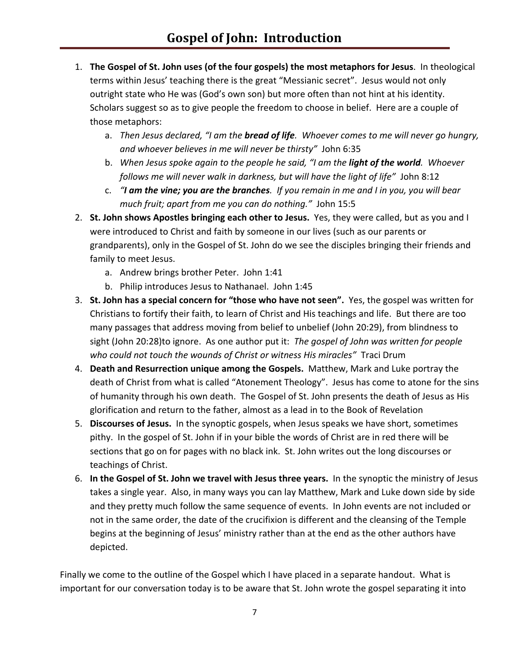- 1. **The Gospel of St. John uses (of the four gospels) the most metaphors for Jesus**. In theological terms within Jesus' teaching there is the great "Messianic secret". Jesus would not only outright state who He was (God's own son) but more often than not hint at his identity. Scholars suggest so as to give people the freedom to choose in belief. Here are a couple of those metaphors:
	- a. *Then Jesus declared, "I am the bread of life. Whoever comes to me will never go hungry, and whoever believes in me will never be thirsty"* John 6:35
	- b. *When Jesus spoke again to the people he said, "I am the light of the world. Whoever follows me will never walk in darkness, but will have the light of life"* John 8:12
	- c. *"I am the vine; you are the branches. If you remain in me and I in you, you will bear much fruit; apart from me you can do nothing."* John 15:5
- 2. **St. John shows Apostles bringing each other to Jesus.** Yes, they were called, but as you and I were introduced to Christ and faith by someone in our lives (such as our parents or grandparents), only in the Gospel of St. John do we see the disciples bringing their friends and family to meet Jesus.
	- a. Andrew brings brother Peter. John 1:41
	- b. Philip introduces Jesus to Nathanael. John 1:45
- 3. **St. John has a special concern for "those who have not seen".** Yes, the gospel was written for Christians to fortify their faith, to learn of Christ and His teachings and life. But there are too many passages that address moving from belief to unbelief (John 20:29), from blindness to sight (John 20:28)to ignore. As one author put it: *The gospel of John was written for people who could not touch the wounds of Christ or witness His miracles"* Traci Drum
- 4. **Death and Resurrection unique among the Gospels.** Matthew, Mark and Luke portray the death of Christ from what is called "Atonement Theology". Jesus has come to atone for the sins of humanity through his own death. The Gospel of St. John presents the death of Jesus as His glorification and return to the father, almost as a lead in to the Book of Revelation
- 5. **Discourses of Jesus.** In the synoptic gospels, when Jesus speaks we have short, sometimes pithy. In the gospel of St. John if in your bible the words of Christ are in red there will be sections that go on for pages with no black ink. St. John writes out the long discourses or teachings of Christ.
- 6. **In the Gospel of St. John we travel with Jesus three years.** In the synoptic the ministry of Jesus takes a single year. Also, in many ways you can lay Matthew, Mark and Luke down side by side and they pretty much follow the same sequence of events. In John events are not included or not in the same order, the date of the crucifixion is different and the cleansing of the Temple begins at the beginning of Jesus' ministry rather than at the end as the other authors have depicted.

Finally we come to the outline of the Gospel which I have placed in a separate handout. What is important for our conversation today is to be aware that St. John wrote the gospel separating it into